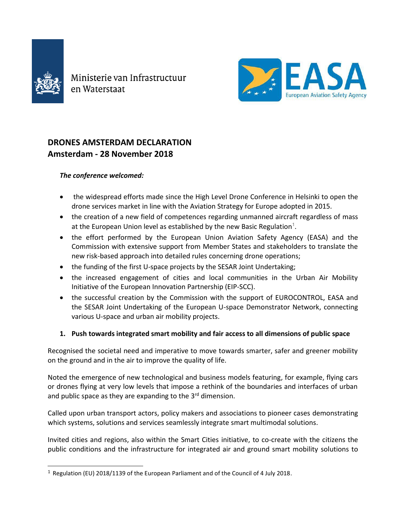

ł

Ministerie van Infrastructuur en Waterstaat



# **DRONES AMSTERDAM DECLARATION Amsterdam - 28 November 2018**

### *The conference welcomed:*

- the widespread efforts made since the High Level Drone Conference in Helsinki to open the drone services market in line with the Aviation Strategy for Europe adopted in 2015.
- the creation of a new field of competences regarding unmanned aircraft regardless of mass at the European Union level as established by the new Basic Regulation<sup>1</sup>.
- the effort performed by the European Union Aviation Safety Agency (EASA) and the Commission with extensive support from Member States and stakeholders to translate the new risk-based approach into detailed rules concerning drone operations;
- the funding of the first U-space projects by the SESAR Joint Undertaking;
- the increased engagement of cities and local communities in the Urban Air Mobility Initiative of the European Innovation Partnership (EIP-SCC).
- the successful creation by the Commission with the support of EUROCONTROL, EASA and the SESAR Joint Undertaking of the European U-space Demonstrator Network, connecting various U-space and urban air mobility projects.

## **1. Push towards integrated smart mobility and fair access to all dimensions of public space**

Recognised the societal need and imperative to move towards smarter, safer and greener mobility on the ground and in the air to improve the quality of life.

Noted the emergence of new technological and business models featuring, for example, flying cars or drones flying at very low levels that impose a rethink of the boundaries and interfaces of urban and public space as they are expanding to the  $3<sup>rd</sup>$  dimension.

Called upon urban transport actors, policy makers and associations to pioneer cases demonstrating which systems, solutions and services seamlessly integrate smart multimodal solutions.

Invited cities and regions, also within the Smart Cities initiative, to co-create with the citizens the public conditions and the infrastructure for integrated air and ground smart mobility solutions to

<sup>&</sup>lt;sup>1</sup> Regulation (EU) 2018/1139 of the European Parliament and of the Council of 4 July 2018.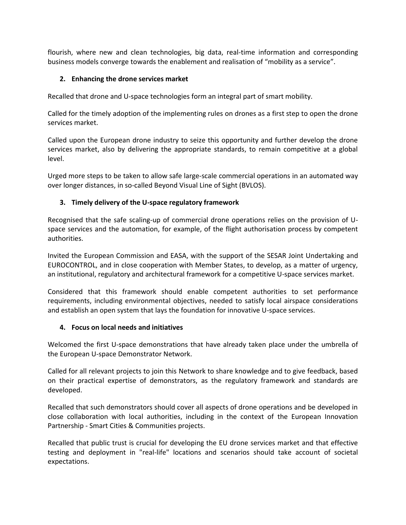flourish, where new and clean technologies, big data, real-time information and corresponding business models converge towards the enablement and realisation of "mobility as a service".

### **2. Enhancing the drone services market**

Recalled that drone and U-space technologies form an integral part of smart mobility.

Called for the timely adoption of the implementing rules on drones as a first step to open the drone services market.

Called upon the European drone industry to seize this opportunity and further develop the drone services market, also by delivering the appropriate standards, to remain competitive at a global level.

Urged more steps to be taken to allow safe large-scale commercial operations in an automated way over longer distances, in so-called Beyond Visual Line of Sight (BVLOS).

### **3. Timely delivery of the U-space regulatory framework**

Recognised that the safe scaling-up of commercial drone operations relies on the provision of Uspace services and the automation, for example, of the flight authorisation process by competent authorities.

Invited the European Commission and EASA, with the support of the SESAR Joint Undertaking and EUROCONTROL, and in close cooperation with Member States, to develop, as a matter of urgency, an institutional, regulatory and architectural framework for a competitive U-space services market.

Considered that this framework should enable competent authorities to set performance requirements, including environmental objectives, needed to satisfy local airspace considerations and establish an open system that lays the foundation for innovative U-space services.

#### **4. Focus on local needs and initiatives**

Welcomed the first U-space demonstrations that have already taken place under the umbrella of the European U-space Demonstrator Network.

Called for all relevant projects to join this Network to share knowledge and to give feedback, based on their practical expertise of demonstrators, as the regulatory framework and standards are developed.

Recalled that such demonstrators should cover all aspects of drone operations and be developed in close collaboration with local authorities, including in the context of the European Innovation Partnership - Smart Cities & Communities projects.

Recalled that public trust is crucial for developing the EU drone services market and that effective testing and deployment in "real-life" locations and scenarios should take account of societal expectations.